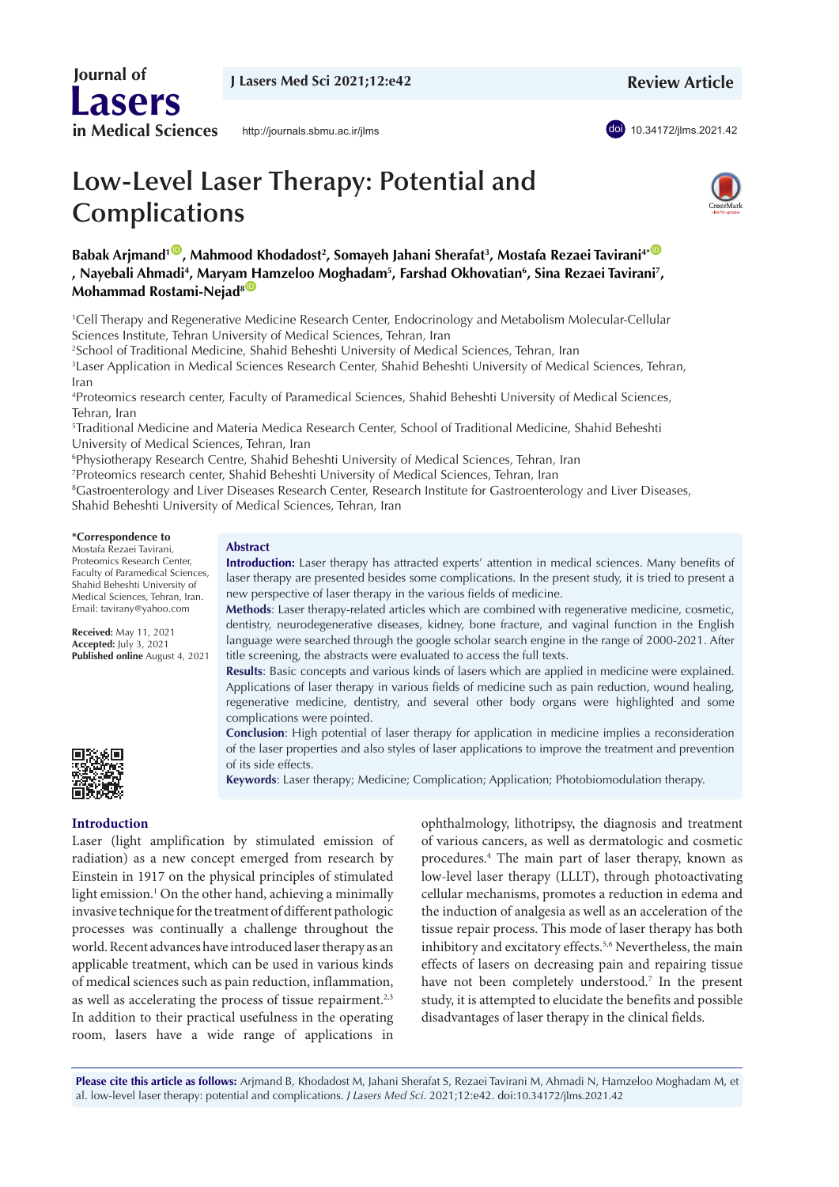**Review Article**

doi [10.34172/jlms.2021.42](https://doi.org/10.34172/jlms.2021.42)

# **Low-Level Laser Therapy: Potential and Complications**

<http://journals.sbmu.ac.ir/jlms>



Babak Arjmand<sup>1 ®</sup>, Mahmood Khodadost<sup>2</sup>, Somayeh Jahani Sherafat<sup>3</sup>, Mostafa Rezaei Tavirani<sup>4\*®</sup> **, Nayebali Ahmadi4 , Marya[m H](https://orcid.org/0000-0003-2495-1831)amzeloo Moghadam5 , Farshad Okhovatian6 , Sina Rezaei Tavirani7 , Mohammad Rostami-Nejad<sup>8</sup>** 

1 Cell Therapy and Regenerative Medicine Research Center, Endocrinology and Metabolism Molecular-Cellular Sciences Institute, Tehran University of Medical Sciences, Tehran, Iran

2 School of Traditional Medicine, Shahid Beheshti University of Medical Sciences, Tehran, Iran

3 Laser Application in Medical Sciences Research Center, Shahid Beheshti University of Medical Sciences, Tehran, Iran

4 Proteomics research center, Faculty of Paramedical Sciences, Shahid Beheshti University of Medical Sciences, Tehran, Iran

5 Traditional Medicine and Materia Medica Research Center, School of Traditional Medicine, Shahid Beheshti University of Medical Sciences, Tehran, Iran

6 Physiotherapy Research Centre, Shahid Beheshti University of Medical Sciences, Tehran, Iran

7 Proteomics research center, Shahid Beheshti University of Medical Sciences, Tehran, Iran

8 Gastroenterology and Liver Diseases Research Center, Research Institute for Gastroenterology and Liver Diseases, Shahid Beheshti University of Medical Sciences, Tehran, Iran

#### **\*Correspondence to**

 **Journal of**

**Lasers**

**in Medical Sciences**

Mostafa Rezaei Tavirani, Proteomics Research Center, Faculty of Paramedical Sciences, Shahid Beheshti University of Medical Sciences, Tehran, Iran. Email: tavirany@yahoo.com

**Received:** May 11, 2021 **Accepted:** July 3, 2021 **Published online** August 4, 2021



# **Introduction**

Laser (light amplification by stimulated emission of radiation) as a new concept emerged from research by Einstein in 1917 on the physical principles of stimulated light emission.<sup>1</sup> On the other hand, achieving a minimally invasive technique for the treatment of different pathologic processes was continually a challenge throughout the world. Recent advances have introduced laser therapy as an applicable treatment, which can be used in various kinds of medical sciences such as pain reduction, inflammation, as well as accelerating the process of tissue repairment.<sup>2,3</sup> In addition to their practical usefulness in the operating room, lasers have a wide range of applications in

ophthalmology, lithotripsy, the diagnosis and treatment of various cancers, as well as dermatologic and cosmetic procedures.4 The main part of laser therapy, known as low-level laser therapy (LLLT), through photoactivating cellular mechanisms, promotes a reduction in edema and the induction of analgesia as well as an acceleration of the tissue repair process. This mode of laser therapy has both inhibitory and excitatory effects.<sup>5,6</sup> Nevertheless, the main effects of lasers on decreasing pain and repairing tissue have not been completely understood.<sup>7</sup> In the present study, it is attempted to elucidate the benefits and possible disadvantages of laser therapy in the clinical fields.

**Please cite this article as follows:** Arjmand B, Khodadost M, Jahani Sherafat S, Rezaei Tavirani M, Ahmadi N, Hamzeloo Moghadam M, et al. low-level laser therapy: potential and complications. *J Lasers Med Sci.* 2021;12:e42. doi:10.34172/jlms.2021.42

# **Abstract**

**Introduction:** Laser therapy has attracted experts' attention in medical sciences. Many benefits of laser therapy are presented besides some complications. In the present study, it is tried to present a new perspective of laser therapy in the various fields of medicine.

**Methods**: Laser therapy-related articles which are combined with regenerative medicine, cosmetic, dentistry, neurodegenerative diseases, kidney, bone fracture, and vaginal function in the English language were searched through the google scholar search engine in the range of 2000-2021. After title screening, the abstracts were evaluated to access the full texts.

**Results**: Basic concepts and various kinds of lasers which are applied in medicine were explained. Applications of laser therapy in various fields of medicine such as pain reduction, wound healing, regenerative medicine, dentistry, and several other body organs were highlighted and some complications were pointed.

**Conclusion**: High potential of laser therapy for application in medicine implies a reconsideration of the laser properties and also styles of laser applications to improve the treatment and prevention of its side effects.

**Keywords**: Laser therapy; Medicine; Complication; Application; Photobiomodulation therapy.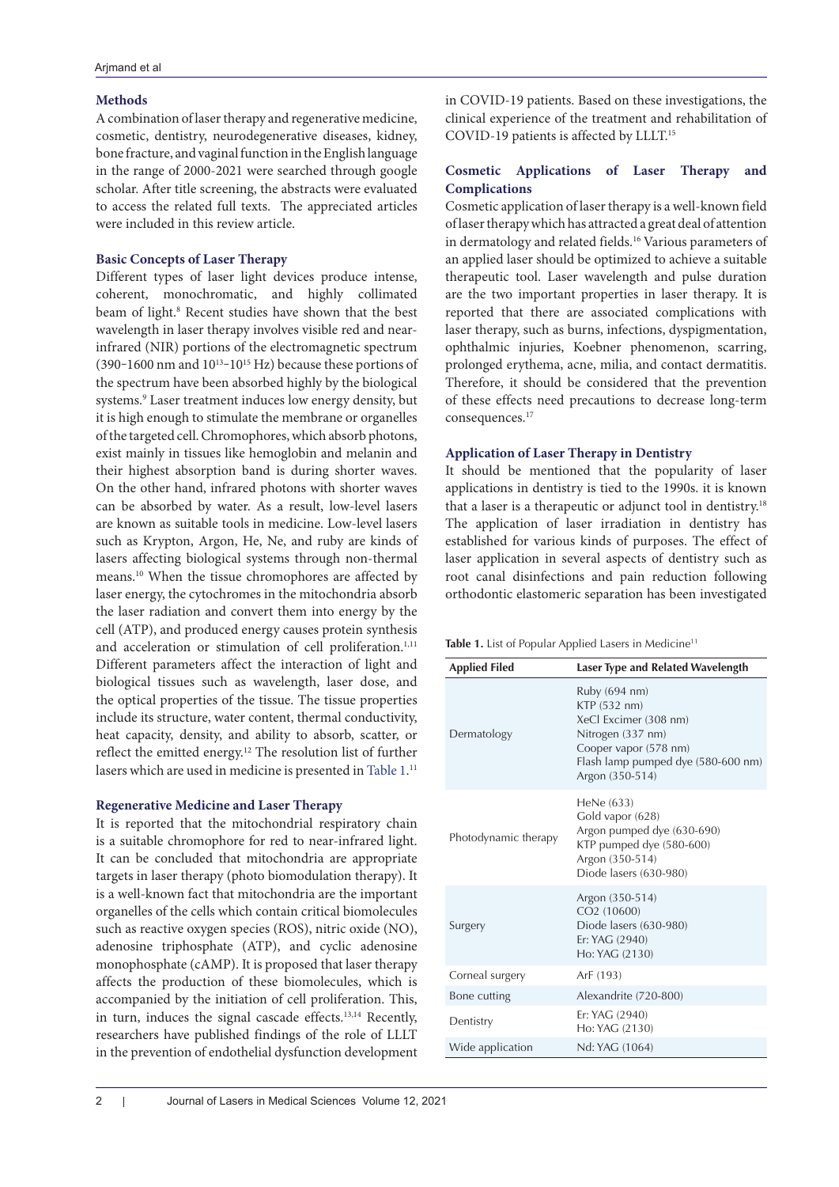# **Methods**

A combination of laser therapy and regenerative medicine, cosmetic, dentistry, neurodegenerative diseases, kidney, bone fracture, and vaginal function in the English language in the range of 2000-2021 were searched through google scholar. After title screening, the abstracts were evaluated to access the related full texts. The appreciated articles were included in this review article.

# **Basic Concepts of Laser Therapy**

Different types of laser light devices produce intense, coherent, monochromatic, and highly collimated beam of light.<sup>8</sup> Recent studies have shown that the best wavelength in laser therapy involves visible red and nearinfrared (NIR) portions of the electromagnetic spectrum (390–1600 nm and  $10^{13}$ – $10^{15}$  Hz) because these portions of the spectrum have been absorbed highly by the biological systems.9 Laser treatment induces low energy density, but it is high enough to stimulate the membrane or organelles of the targeted cell. Chromophores, which absorb photons, exist mainly in tissues like hemoglobin and melanin and their highest absorption band is during shorter waves. On the other hand, infrared photons with shorter waves can be absorbed by water. As a result, low-level lasers are known as suitable tools in medicine. Low-level lasers such as Krypton, Argon, He, Ne, and ruby are kinds of lasers affecting biological systems through non-thermal means.10 When the tissue chromophores are affected by laser energy, the cytochromes in the mitochondria absorb the laser radiation and convert them into energy by the cell (ATP), and produced energy causes protein synthesis and acceleration or stimulation of cell proliferation.<sup>1,11</sup> Different parameters affect the interaction of light and biological tissues such as wavelength, laser dose, and the optical properties of the tissue. The tissue properties include its structure, water content, thermal conductivity, heat capacity, density, and ability to absorb, scatter, or reflect the emitted energy.12 The resolution list of further lasers which are used in medicine is presented in Table  $1.^{\scriptscriptstyle 11}$ 

# **Regenerative Medicine and Laser Therapy**

It is reported that the mitochondrial respiratory chain is a suitable chromophore for red to near-infrared light. It can be concluded that mitochondria are appropriate targets in laser therapy (photo biomodulation therapy). It is a well-known fact that mitochondria are the important organelles of the cells which contain critical biomolecules such as reactive oxygen species (ROS), nitric oxide (NO), adenosine triphosphate (ATP), and cyclic adenosine monophosphate (cAMP). It is proposed that laser therapy affects the production of these biomolecules, which is accompanied by the initiation of cell proliferation. This, in turn, induces the signal cascade effects.13,14 Recently, researchers have published findings of the role of LLLT in the prevention of endothelial dysfunction development in COVID-19 patients. Based on these investigations, the clinical experience of the treatment and rehabilitation of COVID-19 patients is affected by LLLT.15

# **Cosmetic Applications of Laser Therapy and Complications**

Cosmetic application of laser therapy is a well-known field of laser therapy which has attracted a great deal of attention in dermatology and related fields.<sup>16</sup> Various parameters of an applied laser should be optimized to achieve a suitable therapeutic tool. Laser wavelength and pulse duration are the two important properties in laser therapy. It is reported that there are associated complications with laser therapy, such as burns, infections, dyspigmentation, ophthalmic injuries, Koebner phenomenon, scarring, prolonged erythema, acne, milia, and contact dermatitis. Therefore, it should be considered that the prevention of these effects need precautions to decrease long-term consequences. 17

# **Application of Laser Therapy in Dentistry**

It should be mentioned that the popularity of laser applications in dentistry is tied to the 1990s. it is known that a laser is a therapeutic or adjunct tool in dentistry.<sup>18</sup> The application of laser irradiation in dentistry has established for various kinds of purposes. The effect of laser application in several aspects of dentistry such as root canal disinfections and pain reduction following orthodontic elastomeric separation has been investigated

<span id="page-1-0"></span>Table 1. List of Popular Applied Lasers in Medicine<sup>11</sup>

| <b>Applied Filed</b> | Laser Type and Related Wavelength                                                                                                                             |
|----------------------|---------------------------------------------------------------------------------------------------------------------------------------------------------------|
| Dermatology          | Ruby (694 nm)<br>KTP (532 nm)<br>XeCl Excimer (308 nm)<br>Nitrogen (337 nm)<br>Cooper vapor (578 nm)<br>Flash lamp pumped dye (580-600 nm)<br>Argon (350-514) |
| Photodynamic therapy | HeNe (633)<br>Gold vapor (628)<br>Argon pumped dye (630-690)<br>KTP pumped dye (580-600)<br>Argon (350-514)<br>Diode lasers (630-980)                         |
| Surgery              | Argon (350-514)<br>CO2 (10600)<br>Diode lasers (630-980)<br>Er: YAG (2940)<br>Ho: YAG (2130)                                                                  |
| Corneal surgery      | ArF (193)                                                                                                                                                     |
| Bone cutting         | Alexandrite (720-800)                                                                                                                                         |
| Dentistry            | Er: YAG (2940)<br>Ho: YAG (2130)                                                                                                                              |
| Wide application     | Nd: YAG (1064)                                                                                                                                                |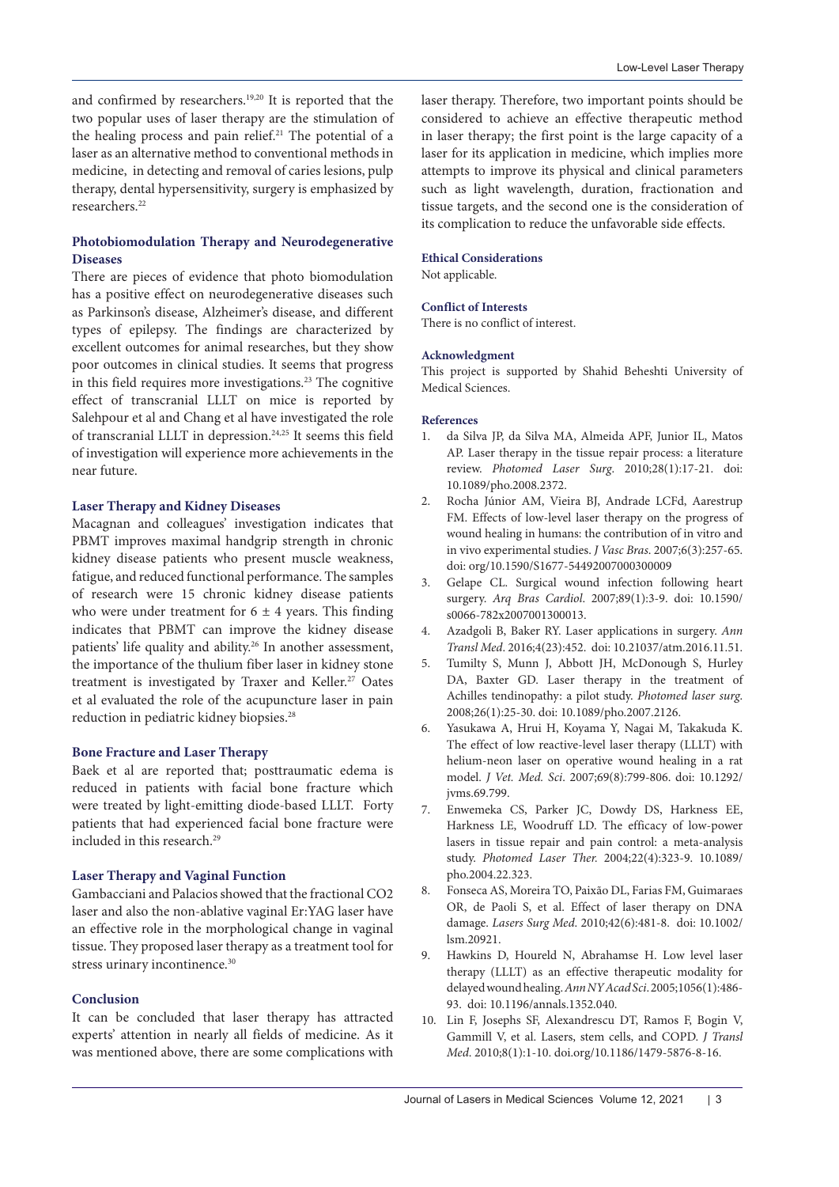and confirmed by researchers.19,20 It is reported that the two popular uses of laser therapy are the stimulation of the healing process and pain relief.<sup>21</sup> The potential of a laser as an alternative method to conventional methods in medicine, in detecting and removal of caries lesions, pulp therapy, dental hypersensitivity, surgery is emphasized by researchers.<sup>22</sup>

# **Photobiomodulation Therapy and Neurodegenerative Diseases**

There are pieces of evidence that photo biomodulation has a positive effect on neurodegenerative diseases such as Parkinson's disease, Alzheimer's disease, and different types of epilepsy. The findings are characterized by excellent outcomes for animal researches, but they show poor outcomes in clinical studies. It seems that progress in this field requires more investigations. $23$  The cognitive effect of transcranial LLLT on mice is reported by Salehpour et al and Chang et al have investigated the role of transcranial LLLT in depression.24,25 It seems this field of investigation will experience more achievements in the near future.

#### **Laser Therapy and Kidney Diseases**

Macagnan and colleagues' investigation indicates that PBMT improves maximal handgrip strength in chronic kidney disease patients who present muscle weakness, fatigue, and reduced functional performance. The samples of research were 15 chronic kidney disease patients who were under treatment for  $6 \pm 4$  years. This finding indicates that PBMT can improve the kidney disease patients' life quality and ability.<sup>26</sup> In another assessment, the importance of the thulium fiber laser in kidney stone treatment is investigated by Traxer and Keller.<sup>27</sup> Oates et al evaluated the role of the acupuncture laser in pain reduction in pediatric kidney biopsies.<sup>28</sup>

### **Bone Fracture and Laser Therapy**

Baek et al are reported that; posttraumatic edema is reduced in patients with facial bone fracture which were treated by light-emitting diode-based LLLT. Forty patients that had experienced facial bone fracture were included in this research.<sup>29</sup>

## **Laser Therapy and Vaginal Function**

Gambacciani and Palacios showed that the fractional CO2 laser and also the non-ablative vaginal Er:YAG laser have an effective role in the morphological change in vaginal tissue. They proposed laser therapy as a treatment tool for stress urinary incontinence.<sup>30</sup>

## **Conclusion**

It can be concluded that laser therapy has attracted experts' attention in nearly all fields of medicine. As it was mentioned above, there are some complications with laser therapy. Therefore, two important points should be considered to achieve an effective therapeutic method in laser therapy; the first point is the large capacity of a laser for its application in medicine, which implies more attempts to improve its physical and clinical parameters such as light wavelength, duration, fractionation and tissue targets, and the second one is the consideration of its complication to reduce the unfavorable side effects.

#### **Ethical Considerations**

Not applicable.

#### **Conflict of Interests**

There is no conflict of interest.

#### **Acknowledgment**

This project is supported by Shahid Beheshti University of Medical Sciences.

#### **References**

- 1. da Silva JP, da Silva MA, Almeida APF, Junior IL, Matos AP. Laser therapy in the tissue repair process: a literature review. *Photomed Laser Surg*. 2010;28(1):17-21. doi: 10.1089/pho.2008.2372.
- 2. Rocha Júnior AM, Vieira BJ, Andrade LCFd, Aarestrup FM. Effects of low-level laser therapy on the progress of wound healing in humans: the contribution of in vitro and in vivo experimental studies. *J Vasc Bras*. 2007;6(3):257-65. doi: org/10.1590/S1677-54492007000300009
- 3. Gelape CL. Surgical wound infection following heart surgery. *Arq Bras Cardiol*. 2007;89(1):3-9. doi: 10.1590/ s0066-782x2007001300013.
- 4. Azadgoli B, Baker RY. Laser applications in surgery. *Ann Transl Med*. 2016;4(23):452. doi: 10.21037/atm.2016.11.51.
- 5. Tumilty S, Munn J, Abbott JH, McDonough S, Hurley DA, Baxter GD. Laser therapy in the treatment of Achilles tendinopathy: a pilot study. *Photomed laser surg*. 2008;26(1):25-30. doi: 10.1089/pho.2007.2126.
- 6. Yasukawa A, Hrui H, Koyama Y, Nagai M, Takakuda K. The effect of low reactive-level laser therapy (LLLT) with helium-neon laser on operative wound healing in a rat model. *J Vet. Med. Sci*. 2007;69(8):799-806. doi: 10.1292/ jvms.69.799.
- 7. Enwemeka CS, Parker JC, Dowdy DS, Harkness EE, Harkness LE, Woodruff LD. The efficacy of low-power lasers in tissue repair and pain control: a meta-analysis study. *Photomed Laser Ther.* 2004;22(4):323-9. 10.1089/ pho.2004.22.323.
- 8. Fonseca AS, Moreira TO, Paixão DL, Farias FM, Guimaraes OR, de Paoli S, et al. Effect of laser therapy on DNA damage. *Lasers Surg Med*. 2010;42(6):481-8. doi: 10.1002/ lsm.20921.
- 9. Hawkins D, Houreld N, Abrahamse H. Low level laser therapy (LLLT) as an effective therapeutic modality for delayed wound healing. *Ann NY Acad Sci*. 2005;1056(1):486- 93. doi: 10.1196/annals.1352.040.
- 10. Lin F, Josephs SF, Alexandrescu DT, Ramos F, Bogin V, Gammill V, et al. Lasers, stem cells, and COPD. *J Transl Med*. 2010;8(1):1-10. doi.org/10.1186/1479-5876-8-16.